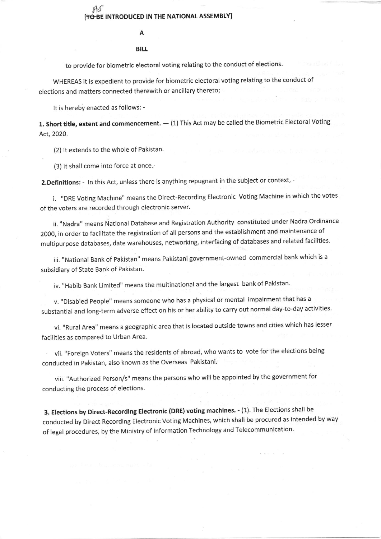## A

## BILL

to provide for biometric electoral voting relating to the conduct of elections.

WHEREAS it is expedient to provide for biometric electoral voting relating to the conduct of elections and matters connected therewith or ancillary thereto;

It is hereby enacted as follows: -

 ${\bf 1}.$  Short title, extent and commencement. —  $(1)$  This Act may be called the Biometric Electoral Voting Act,2020.

(2) It extends to the whole of Pakistan.

(3) lt shall come into force at once.

2. Definitions: - In this Act, unless there is anything repugnant in the subject or context, -

i. "DRE Voting Machine" means the Direct-Recording Electronic Voting Machine in which the votes of the voters are recorded through electronic server.

ii. "Nadra" means National Database and Registration Authority constituted under Nadra Ordinance 2000, in order to facilitate the registration of all persons and the establishment and maintenance of multipurpose databases, date warehouses, networking, interfacing of databases and related facilities.

iii. "National Bank of Pakistan" means Pakistani government-owned commercial bank which is <sup>a</sup> subsidiary of State Bank of Pakistan.

iv. "Habib Bank Limited" means the multinational and the largest bank of Pakistan.

v. "Disabled People" means someone who has a physical or mental impairment that has a substantial and long-term adverse effect on his or her ability to carry out normal day-to-day activities.

vi. "Rural Area" means a geographic area that is located outside towns and cities which has lesser facilities as compared to Urban Area.

vii. "Foreign Voters" means the residents of abroad, who wants to vote for the elections being conducted in Pakistan, also known as the Overseas Pakistani.

viii. "Authorized Person/s" means the persons who will be appointed by the government for conducting the process of elections.

3. Elections by Direct-Recording Electronic (DRE) voting machines. - (1). The Elections shall be conducted by Direct Recording Electronic voting Machines, which shall be procured as intended by way of legal procedures, by the Ministry of lnformation Technology and Telecommunication'